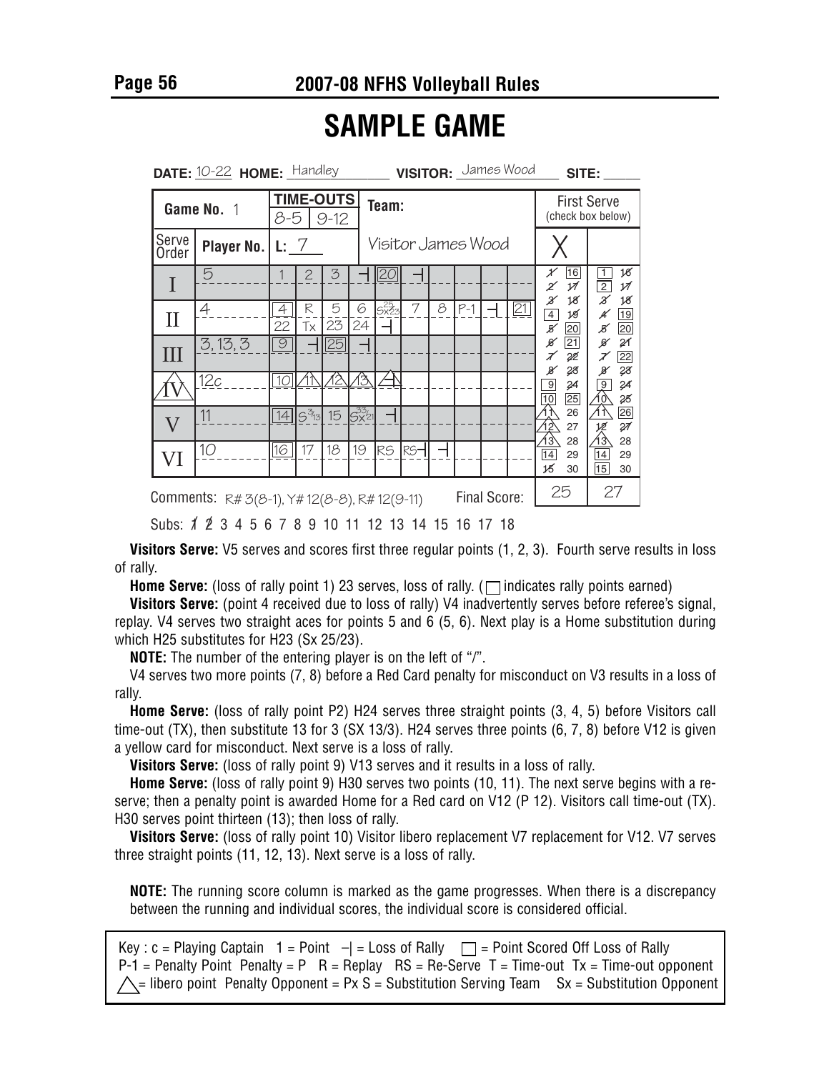**Page 56 2007-08 NFHS Volleyball Rules**

## **SAMPLE GAME**

| <b>DATE:</b> $10-22$ <b>HOME:</b> $\frac{\text{H} \cdot \text{H}}{\text{H}}$ |                                                                             |                                     |                |         |                                | <b>VISITOR:</b> James Wood<br>SITE: |                    |   |                                         |    |                 |                                                          |                                                                   |  |
|------------------------------------------------------------------------------|-----------------------------------------------------------------------------|-------------------------------------|----------------|---------|--------------------------------|-------------------------------------|--------------------|---|-----------------------------------------|----|-----------------|----------------------------------------------------------|-------------------------------------------------------------------|--|
| Game No. 1                                                                   |                                                                             | <b>TIME-OUTS</b><br>8-5<br>$9 - 12$ |                |         |                                | Team:                               |                    |   | <b>First Serve</b><br>(check box below) |    |                 |                                                          |                                                                   |  |
| Serve<br>Order                                                               | <b>Player No.</b>                                                           | L: 7                                |                |         |                                |                                     | Visitor James Wood |   |                                         |    |                 |                                                          |                                                                   |  |
|                                                                              | 5                                                                           |                                     | $\overline{2}$ | 3       |                                |                                     |                    |   |                                         |    |                 | 16<br>Х<br>$\overline{\mathcal{M}}$<br>Ζ<br><br>18       | 18<br>1<br>$\overline{2}$<br>17<br>$\overline{\mathscr{Z}}$<br>18 |  |
| П                                                                            | $\overline{4}$                                                              | $\overline{4}$<br>22                | R<br>Tx        | 5<br>23 | 6<br>24                        | $5x^{25}_{23}$                      | 7                  | 8 | $P-1$                                   |    | $\overline{21}$ | $\overline{4}$<br>19<br>К<br>20                          | ¥<br>19<br>20<br>В                                                |  |
| Ш                                                                            | 3,13,3                                                                      | $\overline{9}$                      |                | 25      |                                |                                     |                    |   |                                         |    |                 | ø<br>$\overline{21}$<br>7<br>22                          | 21<br>ø<br>22<br>$\mathcal X$                                     |  |
|                                                                              | 12c                                                                         | 10 <sup>1</sup>                     |                | 12      | 份                              |                                     |                    |   |                                         |    |                 | 28<br>$_\mathscr{B}$<br>$\overline{9}$<br>24<br>10<br>25 | 28<br>X<br>$\overline{9}$<br>$\frac{2}{4}$<br>屳<br>28             |  |
| $\overline{\mathsf{V}}$                                                      | 11                                                                          | 4                                   | $5^{3/3}$      | 15      | $S_{\text{X}^{33/21}}^{33/21}$ |                                     |                    |   |                                         |    |                 | 26<br><u><br/>12</u><br>12<br>27                         | 什<br>26<br>27<br>ter<br>13                                        |  |
| VI                                                                           | 10 <sup>°</sup>                                                             | 16                                  | 17             | 18      | 19                             | RS                                  | RS <sub>1</sub>    |   |                                         |    |                 | 谷<br>28<br>14<br>29<br>15<br>30                          | 28<br>14<br>29<br>15<br>30                                        |  |
|                                                                              | Final Score:<br><b>Comments:</b> $R# 3(8-1)$ , $Y# 12(8-8)$ , $R# 12(9-11)$ |                                     |                |         |                                |                                     |                    |   |                                         | 25 | 27              |                                                          |                                                                   |  |
| Subs: 1 2 3 4 5 6 7 8 9 10 11 12 13 14 15 16 17 18                           |                                                                             |                                     |                |         |                                |                                     |                    |   |                                         |    |                 |                                                          |                                                                   |  |

**Visitors Serve:** V5 serves and scores first three regular points (1, 2, 3). Fourth serve results in loss of rally.

**Home Serve:** (loss of rally point 1) 23 serves, loss of rally.  $(\Box)$  indicates rally points earned)

**Visitors Serve:** (point 4 received due to loss of rally) V4 inadvertently serves before referee's signal, replay. V4 serves two straight aces for points 5 and 6 (5, 6). Next play is a Home substitution during which H25 substitutes for H23 (Sx 25/23).

**NOTE:** The number of the entering player is on the left of "/".

V4 serves two more points (7, 8) before a Red Card penalty for misconduct on V3 results in a loss of rally.

**Home Serve:** (loss of rally point P2) H24 serves three straight points (3, 4, 5) before Visitors call time-out (TX), then substitute 13 for 3 (SX 13/3). H24 serves three points (6, 7, 8) before V12 is given a yellow card for misconduct. Next serve is a loss of rally.

**Visitors Serve:** (loss of rally point 9) V13 serves and it results in a loss of rally.

**Home Serve:** (loss of rally point 9) H30 serves two points (10, 11). The next serve begins with a reserve; then a penalty point is awarded Home for a Red card on V12 (P 12). Visitors call time-out (TX). H30 serves point thirteen (13); then loss of rally.

**Visitors Serve:** (loss of rally point 10) Visitor libero replacement V7 replacement for V12. V7 serves three straight points (11, 12, 13). Next serve is a loss of rally.

**NOTE:** The running score column is marked as the game progresses. When there is a discrepancy between the running and individual scores, the individual score is considered official.

Key : c = Playing Captain  $1 = Point$   $-|=$  Loss of Rally  $\Box$  = Point Scored Off Loss of Rally  $P-1$  = Penalty Point Penalty = P R = Replay RS = Re-Serve T = Time-out Tx = Time-out opponent  $\triangle$  = libero point Penalty Opponent = Px S = Substitution Serving Team Sx = Substitution Opponent